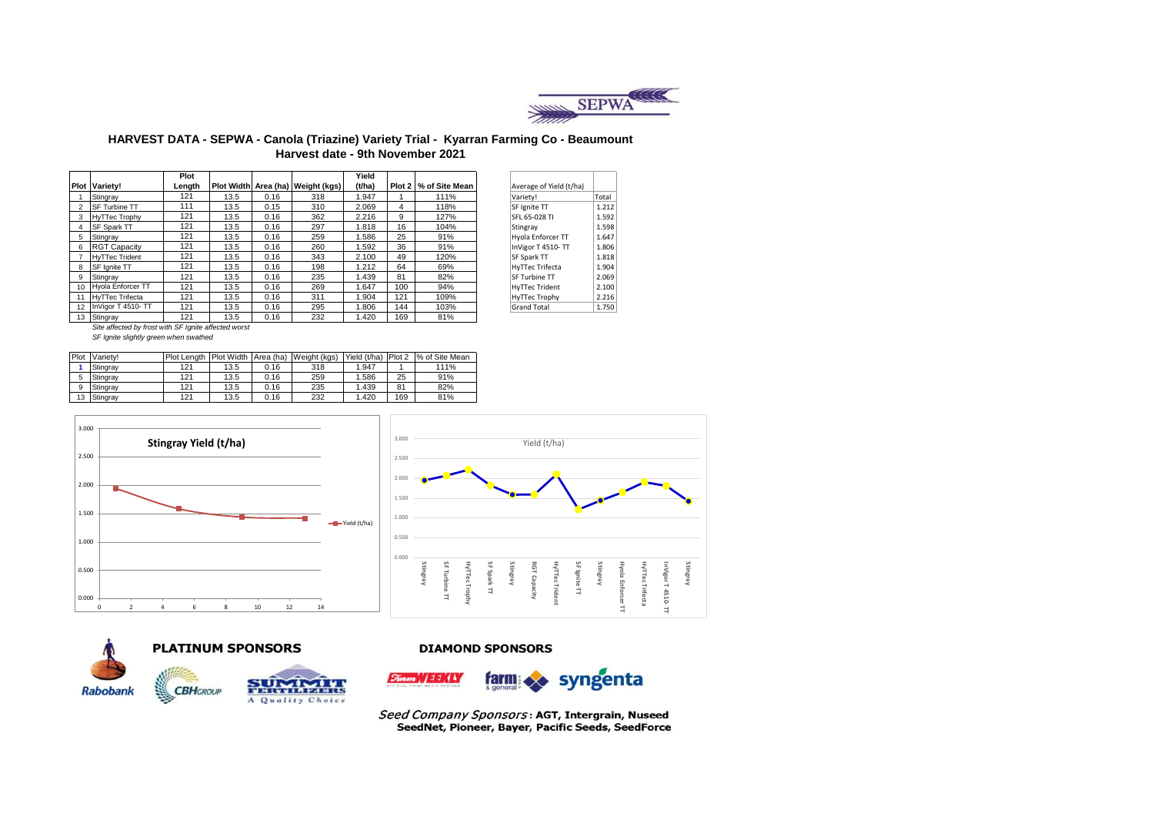

#### **HARVEST DATA - SEPWA - Canola (Triazine) Variety Trial - Kyarran Farming Co - Beaumount Harvest date - 9th November 2021**

|      |                          | Plot   |      |      |                                     | Yield  |     |                       |                         |       |
|------|--------------------------|--------|------|------|-------------------------------------|--------|-----|-----------------------|-------------------------|-------|
| Plot | Variety!                 | Length |      |      | Plot Width Area (ha)   Weight (kgs) | (t/ha) |     | Plot 2 % of Site Mean | Average of Yield (t/ha) |       |
|      | Stingray                 | 121    | 13.5 | 0.16 | 318                                 | 1.947  |     | 111%                  | Variety!                | Total |
|      | <b>SF Turbine TT</b>     | 111    | 13.5 | 0.15 | 310                                 | 2.069  | 4   | 118%                  | SF Ignite TT            | 1.212 |
|      | <b>HyTTec Trophy</b>     | 121    | 13.5 | 0.16 | 362                                 | 2.216  | 9   | 127%                  | SFL 65-028 TI           | 1.592 |
|      | <b>SF Spark TT</b>       | 121    | 13.5 | 0.16 | 297                                 | 1.818  | 16  | 104%                  | Stingray                | 1.598 |
|      | Stingray                 | 121    | 13.5 | 0.16 | 259                                 | 1.586  | 25  | 91%                   | Hyola Enforcer TT       | 1.647 |
| 6    | <b>RGT Capacity</b>      | 121    | 13.5 | 0.16 | 260                                 | 1.592  | 36  | 91%                   | InVigor T 4510-TT       | 1.806 |
|      | <b>HyTTec Trident</b>    | 121    | 13.5 | 0.16 | 343                                 | 2.100  | 49  | 120%                  | <b>SF Spark TT</b>      | 1.818 |
| 8    | SF lanite TT             | 121    | 13.5 | 0.16 | 198                                 | 1.212  | 64  | 69%                   | HyTTec Trifecta         | 1.904 |
| 9    | Stingray                 | 121    | 13.5 | 0.16 | 235                                 | 1.439  | 81  | 82%                   | SF Turbine TT           | 2.069 |
| 10   | <b>Hyola Enforcer TT</b> | 121    | 13.5 | 0.16 | 269                                 | 1.647  | 100 | 94%                   | <b>HyTTec Trident</b>   | 2.100 |
|      | <b>HyTTec Trifecta</b>   | 121    | 13.5 | 0.16 | 311                                 | 1.904  | 121 | 109%                  | HyTTec Trophy           | 2.216 |
| 12   | InVigor T 4510-TT        | 121    | 13.5 | 0.16 | 295                                 | 806.   | 144 | 103%                  | <b>Grand Total</b>      | 1.750 |
| 13   | Stingray                 | 121    | 13.5 | 0.16 | 232                                 | 1.420  | 169 | 81%                   |                         |       |

| Average of Yield (t/ha) |       |
|-------------------------|-------|
| Variety!                | Total |
| SF Ignite TT            | 1.212 |
| SFL 65-028 TI           | 1.592 |
| Stingray                | 1.598 |
| Hyola Enforcer TT       | 1.647 |
| InVigor T 4510-TT       | 1.806 |
| SF Spark TT             | 1.818 |
| <b>HyTTec Trifecta</b>  | 1.904 |
| <b>SF Turbine TT</b>    | 2.069 |
| <b>HyTTec Trident</b>   | 2.100 |
| HyTTec Trophy           | 2.216 |
| <b>Grand Total</b>      | 1.750 |
|                         |       |

*Site affected by frost with SF Ignite affected worst*

*SF Ignite slightly green when swathed*

| Plot | Variety! | Plot Length Plot Width Area (ha) |      |      | Weight (kgs) | Yield (t/ha) | Plot 2 | % of Site Mean |
|------|----------|----------------------------------|------|------|--------------|--------------|--------|----------------|
|      | Stingrav | 121                              | 13.5 | 0.16 | 318          | 1.947        |        | 111%           |
|      | Stingrav | 121                              | 13.5 | 0.16 | 259          | 1.586        | 25     | 91%            |
| 9    | Stingrav | 121                              | 13.5 | 0.16 | 235          | 1.439        | 81     | 82%            |
| 13   | Stingray | 121                              | 13.5 | 0.16 | 232          | 1.420        | 169    | 81%            |





### **PLATINUM SPONSORS**

**CBHGROUP** 



#### **DIAMOND SPONSORS**



Seed Company Sponsors: AGT, Intergrain, Nuseed SeedNet, Pioneer, Bayer, Pacific Seeds, SeedForce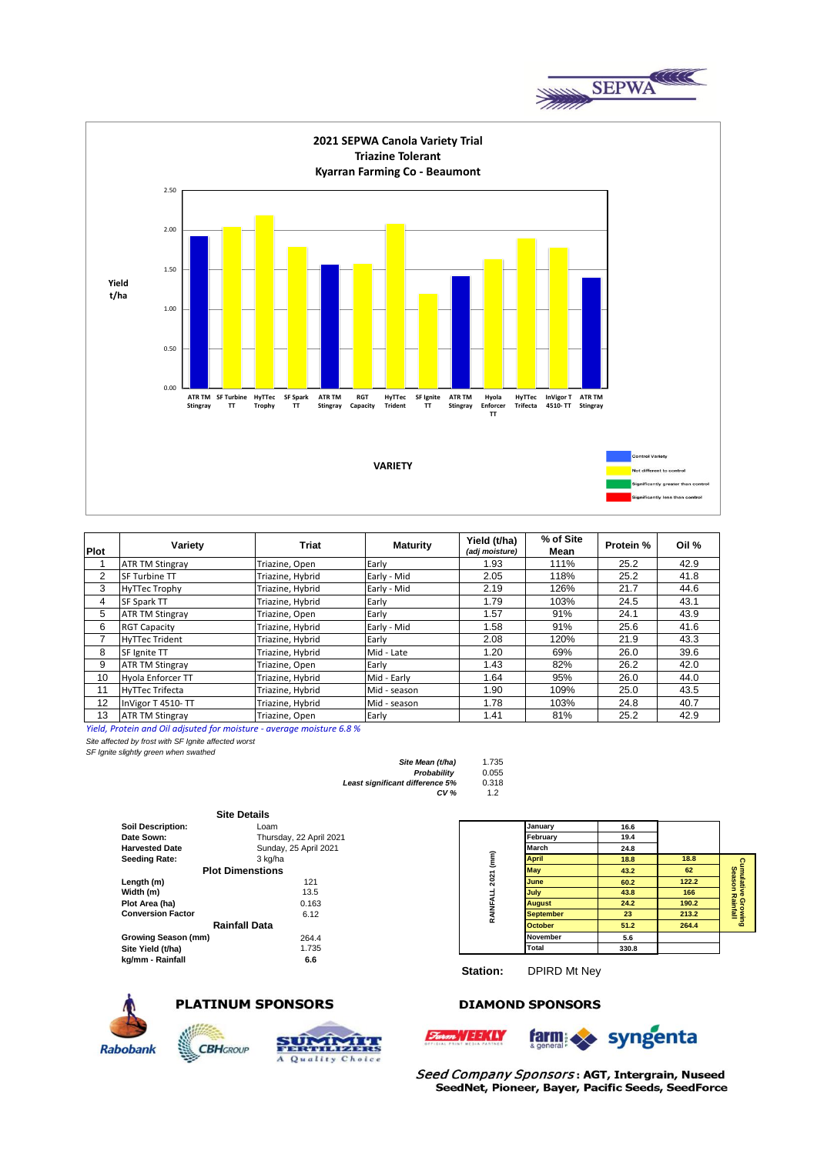



| <b>Plot</b>    | Variety                | Triat            | <b>Maturity</b> | Yield (t/ha)<br>(adj moisture) | % of Site<br>Mean | Protein % | Oil % |
|----------------|------------------------|------------------|-----------------|--------------------------------|-------------------|-----------|-------|
|                | <b>ATR TM Stingray</b> | Triazine, Open   | Early           | 1.93                           | 111%              | 25.2      | 42.9  |
| $\overline{2}$ | SF Turbine TT          | Triazine, Hybrid | Early - Mid     | 2.05                           | 118%              | 25.2      | 41.8  |
| 3              | <b>HyTTec Trophy</b>   | Triazine, Hybrid | Early - Mid     | 2.19                           | 126%              | 21.7      | 44.6  |
| 4              | <b>SF Spark TT</b>     | Triazine, Hybrid | Early           | 1.79                           | 103%              | 24.5      | 43.1  |
| 5              | <b>ATR TM Stingray</b> | Triazine, Open   | Early           | 1.57                           | 91%               | 24.1      | 43.9  |
| 6              | <b>RGT Capacity</b>    | Triazine, Hybrid | Early - Mid     | 1.58                           | 91%               | 25.6      | 41.6  |
|                | <b>HyTTec Trident</b>  | Triazine, Hybrid | Early           | 2.08                           | 120%              | 21.9      | 43.3  |
| 8              | SF Ignite TT           | Triazine, Hybrid | Mid - Late      | 1.20                           | 69%               | 26.0      | 39.6  |
| 9              | <b>ATR TM Stingray</b> | Triazine, Open   | Early           | 1.43                           | 82%               | 26.2      | 42.0  |
| 10             | Hyola Enforcer TT      | Triazine, Hybrid | Mid - Early     | 1.64                           | 95%               | 26.0      | 44.0  |
| 11             | <b>HyTTec Trifecta</b> | Triazine, Hybrid | Mid - season    | 1.90                           | 109%              | 25.0      | 43.5  |
| 12             | InVigor T 4510- TT     | Triazine, Hybrid | Mid - season    | 1.78                           | 103%              | 24.8      | 40.7  |
| 13             | <b>ATR TM Stingray</b> | Triazine, Open   | Early           | 1.41                           | 81%               | 25.2      | 42.9  |

*Yield, Protein and Oil adjsuted for moisture - average moisture 6.8 %*

*Site affected by frost with SF Ignite affected worst SF Ignite slightly green when swathed*

*Site Mean (t/ha)* 1.735<br>*Probability* 0.055 *Probability* 0.055 Least significant difference 5% *CV %* 1.2

|                          |                         | <b>07.70</b><br>$\overline{1}$ |                  |      |
|--------------------------|-------------------------|--------------------------------|------------------|------|
|                          | <b>Site Details</b>     |                                |                  |      |
| <b>Soil Description:</b> | Loam                    |                                | January          | 16.6 |
| Date Sown:               | Thursday, 22 April 2021 |                                | February         | 19.4 |
| <b>Harvested Date</b>    | Sunday, 25 April 2021   |                                | <b>March</b>     | 24.8 |
| <b>Seeding Rate:</b>     | 3 kg/ha                 | $\widehat{\mathbf{f}}$         | <b>April</b>     | 18.8 |
|                          | <b>Plot Dimenstions</b> |                                | <b>May</b>       | 43.2 |
| Length (m)               | 121                     | 2021                           | June             | 60.2 |
| Width (m)                | 13.5                    |                                | July             | 43.8 |
| Plot Area (ha)           | 0.163                   |                                | <b>August</b>    | 24.2 |
| <b>Conversion Factor</b> | 6.12                    | RAINFALL                       | <b>September</b> | 23   |
|                          | <b>Rainfall Data</b>    |                                | <b>October</b>   | 51.2 |



**Station:** DPIRD Mt Ney



**kg/mm - Rainfall 6.6**

**UNITED** 

# **PLATINUM SPONSORS**

**CBH**GROUP



# **DIAMOND SPONSORS**





Seed Company Sponsors: AGT, Intergrain, Nuseed SeedNet, Pioneer, Bayer, Pacific Seeds, SeedForce